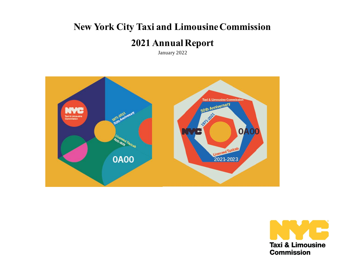# **New York City Taxi and Limousine Commission**

## **2021Annual Report**

January 2022



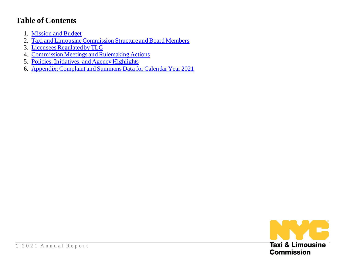## **Table of Contents**

- 1. [Mission and Budget](#page-3-0)
- 2. [Taxi and Limousine Commission Structure and Board Members](#page-3-1)
- 3. [Licensees Regulated by TLC](#page-5-0)
- 4. [Commission Meetings and Rulemaking Actions](#page-7-0)
- 5. [Policies, Initiatives, and Agency Highlights](#page-9-0)
- 6. [Appendix: Complaint and Summons Data for Calendar Year 2021](#page-13-0)

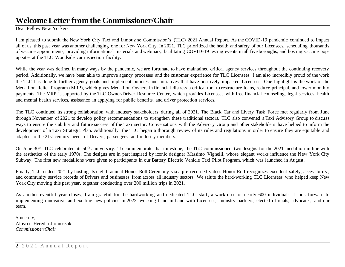## **WelcomeLetter from the Commissioner/Chair**

Dear Fellow New Yorkers:

I am pleased to submit the New York City Taxi and Limousine Commission's (TLC) 2021 Annual Report. As the COVID-19 pandemic continued to impact all of us, this past year was another challenging one for New York City. In 2021, TLC prioritized the health and safety of our Licensees, scheduling thousands of vaccine appointments, providing informational materials and webinars, facilitating COVID-19 testing events in all five boroughs, and hosting vaccine popup sites at the TLC Woodside car inspection facility.

While the year was defined in many ways by the pandemic, we are fortunate to have maintained critical agency services throughout the continuing recovery period. Additionally, we have been able to improve agency processes and the customer experience for TLC Licensees. I am also incredibly proud of the work the TLC has done to further agency goals and implement policies and initiatives that have positively impacted Licensees. One highlight is the work of the Medallion Relief Program (MRP), which gives Medallion Owners in financial distress a critical tool to restructure loans, reduce principal, and lower monthly payments. The MRP is supported by the TLC Owner/Driver Resource Center, which provides Licensees with free financial counseling, legal services, health and mental health services, assistance in applying for public benefits, and driver protection services.

The TLC continued its strong collaboration with industry stakeholders during all of 2021. The Black Car and Livery Task Force met regularly from June through November of 2021 to develop policy recommendations to strengthen these traditional sectors. TLC also convened a Taxi Advisory Group to discuss ways to ensure the stability and future success of the Taxi sector. Conversations with the Advisory Group and other stakeholders have helped to inform the development of a Taxi Strategic Plan. Additionally, the TLC began a thorough review of its rules and regulations in order to ensure they are equitable and adapted to the 21st-century needs of Drivers, passengers, and industry members.

On June 30<sup>th</sup>, TLC celebrated its 50<sup>th</sup> anniversary. To commemorate that milestone, the TLC commissioned two designs for the 2021 medallion in line with the aesthetics of the early 1970s. The designs are in part inspired by iconic designer Massimo Vignelli, whose elegant works influence the New York City Subway. The first new medallions were given to participants in our Battery Electric Vehicle Taxi Pilot Program, which was launched in August.

Finally, TLC ended 2021 by hosting its eighth annual Honor Roll Ceremony via a pre-recorded video. Honor Roll recognizes excellent safety, accessibility, and community service records of Drivers and businesses from across all industry sectors. We salute the hard-working TLC Licensees who helped keep New York City moving this past year, together conducting over 200 million trips in 2021.

As another eventful year closes, I am grateful for the hardworking and dedicated TLC staff, a workforce of nearly 600 individuals. I look forward to implementing innovative and exciting new policies in 2022, working hand in hand with Licensees, industry partners, elected officials, advocates, and our team.

Sincerely, Aloysee Heredia Jarmoszuk *Commissioner/Chair*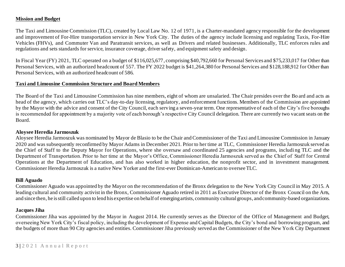#### <span id="page-3-0"></span>**Mission and Budget**

The Taxi and Limousine Commission (TLC), created by Local Law No. 12 of 1971, is a Charter-mandated agency responsible for the development and improvement of For-Hire transportation service in New York City. The duties of the agency include licensing and regulating Taxis, For-Hire Vehicles (FHVs), and Commuter Van and Paratransit services, as well as Drivers and related businesses. Additionally, TLC enforces rules and regulations and sets standards for service, insurance coverage, driver safety, and equipment safety and design.

In Fiscal Year (FY) 2021, TLC operated on a budget of \$116,025,677, comprising \$40,792,660 for Personal Services and \$75,233,017 for Other than Personal Services, with an authorized headcount of 557. The FY 2022 budget is \$41,264,380 for Personal Services and \$128,188,912 for Other than Personal Services, with an authorized headcount of 586.

#### <span id="page-3-1"></span>**Taxi and Limousine Commission Structure and Board Members**

The Board of the Taxi and Limousine Commission has nine members, eight of whom are unsalaried. The Chair presides over the Bo ard and acts as head of the agency, which carries out TLC's day-to-day licensing, regulatory, and enforcement functions. Members of the Commission are appointed by the Mayor with the advice and consent of the City Council, each serving a seven-year term. One representative of each of the City's five boroughs is recommended for appointment by a majority vote of each borough's respective City Council delegation. There are currently two vacant seats on the Board.

#### **Aloysee Heredia Jarmoszuk**

Aloysee Heredia Jarmoszuk was nominated by Mayor de Blasio to be the Chair and Commissioner of the Taxi and Limousine Commission in January 2020 and was subsequently reconfirmed by Mayor Adams in December 2021. Prior to her time at TLC, Commissioner Heredia Jarmoszuk served as the Chief of Staff to the Deputy Mayor for Operations, where she oversaw and coordinated 25 agencies and programs, includi ng TLC and the Department of Transportation. Prior to her time at the Mayor's Office, Commissioner Heredia Jarmoszuk served as the Chief of Staff for Central Operations at the Department of Education, and has also worked in higher education, the nonprofit sector, and in investment management. Commissioner Heredia Jarmoszuk is a native New Yorker and the first-ever Dominican-American to oversee TLC.

#### **Bill Aguado**

Commissioner Aguado was appointed by the Mayor on the recommendation of the Bronx delegation to the New York City Council in May 2015. A leading cultural and community activist in the Bronx, Commissioner Aguado retired in 2011 as Executive Director of the Bronx Council on the Arts, and since then, he is still called upon to lend his expertise on behalf of emerging artists, community cultural groups, and community-based organizations.

#### **Jacques Jiha**

Commissioner Jiha was appointed by the Mayor in August 2014. He currently serves as the Director of the Office of Management and Budget, overseeing New York City's fiscal policy, including the development of Expense and Capital Budgets, the City's bond and borrowing program, and the budgets of more than 90 City agencies and entities. Commissioner Jiha previously served as the Commissioner of the New Yo rk City Department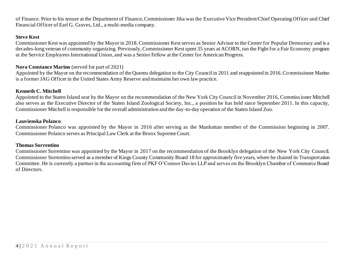of Finance. Prior to his tenure at the Department of Finance, Commissioner Jiha was the Executive Vice President/Chief Operating Officer and Chief Financial Officer of Earl G. Graves, Ltd., a multi-media company.

#### **Steve Kest**

Commissioner Kest was appointed by the Mayor in 2018. Commissioner Kest serves as Senior Advisor to the Center for Popular Democracy and is a decades-long veteran of community organizing. Previously, Commissioner Kest spent 35 years at ACORN, ran the Fight for a Fair Economy program at the Service Employees International Union, and was a Senior Fellow at the Center for American Progress.

#### **Nora Constance Marino** (served for part of 2021)

Appointed by the Mayor on the recommendation of the Queens delegation to the City Council in 2011 and reappointed in 2016. Commissioner Marino is a former JAG Officer in the United States Army Reserve and maintains her own law practice.

#### **Kenneth C. Mitchell**

Appointed to the Staten Island seat by the Mayor on the recommendation of the New York City Council in November 2016, Commissioner Mitchell also serves as the Executive Director of the Staten Island Zoological Society, Inc., a position he has held since September 2011. In this capacity, Commissioner Mitchell is responsible for the overall administration and the day-to-day operation of the Staten Island Zoo.

#### **Lauvienska Polanco**

Commissioner Polanco was appointed by the Mayor in 2016 after serving as the Manhattan member of the Commission beginning in 2007. Commissioner Polanco serves as Principal Law Clerk at the Bronx Supreme Court.

#### **Thomas Sorrentino**

Commissioner Sorrentino was appointed by the Mayor in 2017 on the recommendation of the Brooklyn delegation of the New York City Council. Commissioner Sorrentino served as a member of Kings County Community Board 18 for approximately five years, where he chaired its Transportation Committee. He is currently a partner in the accounting firm of PKF O'Connor Davies LLP and serves on the Brooklyn Chamber of Commerce Board of Directors.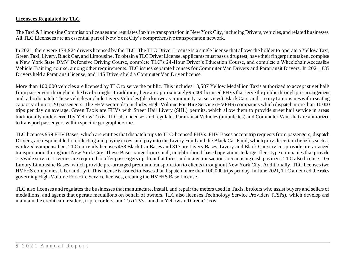#### <span id="page-5-0"></span>**Licensees Regulated by TLC**

The Taxi & Limousine Commission licenses and regulates for-hire transportation in New York City, including Drivers, vehicles, and related businesses. All TLC Licensees are an essential part of New York City's comprehensive transportation network.

In 2021, there were 174,924 drivers licensed by the TLC. The TLC Driver License is a single license that allows the holder to operate a Yellow Taxi, Green Taxi, Livery, Black Car, and Limousine. To obtain a TLC Driver License, applicants must pass a drug test, have their fingerprints taken, complete a New York State DMV Defensive Driving Course, complete TLC's 24-Hour Driver's Education Course, and complete a Wheelchair Accessible Vehicle Training course, among other requirements. TLC issues separate licenses for Commuter Van Drivers and Paratransit Drivers. In 2021, 835 Drivers held a Paratransit license, and 145 Drivers held a Commuter Van Driver license.

More than 100,000 vehicles are licensed by TLC to serve the public. This includes 13,587 Yellow Medallion Taxis authorized to accept street hails from passengers throughoutthe five boroughs. In addition,there are approximately95,000licensed FHVsthat serve the public through pre-arrangement and radio dispatch. These vehicles include Livery Vehicles (also known as community car services), Black Cars, and Luxury Limousines with a seating capacity of up to 20 passengers. The FHV sector also includes High-Volume For-Hire Service (HVFHS) companies which dispatch more than 10,000 trips per day on average. Green Taxis are FHVs with Street Hail Livery (SHL) permits, which allow them to provide street hail service in areas traditionally underserved by Yellow Taxis. TLC also licenses and regulates Paratransit Vehicles (ambulettes) and Commuter Vans that are authorized to transport passengers within specific geographic zones.

TLC licenses 959 FHV Bases, which are entities that dispatch trips to TLC-licensed FHVs. FHV Bases accept trip requests from passengers, dispatch Drivers, are responsible for collecting and paying taxes, and pay into the Livery Fund and the Black Car Fund, which provide certain benefits such as workers' compensation. TLC currently licenses 458 Black Car Bases and 317 are Livery Bases. Livery and Black Car services provide pre-arranged transportation throughout New York City. These Bases range from small, neighborhood-based operations to larger fleet-type companies that provide citywide service. Liveries are required to offer passengers up-front flat fares, and many transactions occur using cash payment. TLC also licenses 105 Luxury Limousine Bases, which provide pre-arranged premium transportation to clients throughout New York City. Additionally, TLC licenses two HVFHS companies, Uber and Lyft. This license is issued to Bases that dispatch more than 100,000 trips per day. In June 2021, TLC amended the rules governing High-Volume For-Hire Service licenses, creating the HVFHS Base License.

TLC also licenses and regulates the businesses that manufacture, install, and repair the meters used in Taxis, brokers who assist buyers and sellers of medallions, and agents that operate medallions on behalf of owners. TLC also licenses Technology Service Providers (TSPs), which develop and maintain the credit card readers, trip recorders, and Taxi TVs found in Yellow and Green Taxis.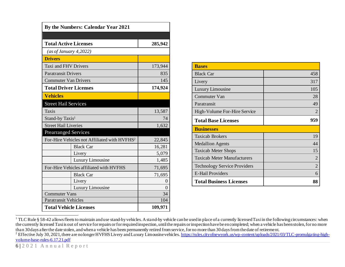| <b>By the Numbers: Calendar Year 2021</b> |                                                          |          |  |  |  |  |  |  |
|-------------------------------------------|----------------------------------------------------------|----------|--|--|--|--|--|--|
|                                           |                                                          |          |  |  |  |  |  |  |
| <b>Total Active Licenses</b>              |                                                          | 285,942  |  |  |  |  |  |  |
| (as of January 4,2022)                    |                                                          |          |  |  |  |  |  |  |
| <b>Drivers</b>                            |                                                          |          |  |  |  |  |  |  |
| Taxi and FHV Drivers                      |                                                          | 173,944  |  |  |  |  |  |  |
| <b>Paratransit Drivers</b>                |                                                          | 835      |  |  |  |  |  |  |
| <b>Commuter Van Drivers</b>               |                                                          | 145      |  |  |  |  |  |  |
| <b>Total Driver Licenses</b>              |                                                          | 174,924  |  |  |  |  |  |  |
| <b>Vehicles</b>                           |                                                          |          |  |  |  |  |  |  |
| <b>Street Hail Services</b>               |                                                          |          |  |  |  |  |  |  |
| Taxis                                     |                                                          | 13,587   |  |  |  |  |  |  |
| Stand-by Taxis <sup>1</sup>               | 74                                                       |          |  |  |  |  |  |  |
| <b>Street Hail Liveries</b>               |                                                          | 1,632    |  |  |  |  |  |  |
| <b>Prearranged Services</b>               |                                                          |          |  |  |  |  |  |  |
|                                           | For-Hire Vehicles not Affiliated with HVFHS <sup>2</sup> | 22,845   |  |  |  |  |  |  |
|                                           | <b>Black Car</b>                                         | 16,281   |  |  |  |  |  |  |
| Livery                                    |                                                          | 5,079    |  |  |  |  |  |  |
|                                           | Luxury Limousine                                         | 1,485    |  |  |  |  |  |  |
|                                           | For-Hire Vehicles affiliated with HVFHS                  | 71,695   |  |  |  |  |  |  |
|                                           | <b>Black Car</b>                                         | 71,695   |  |  |  |  |  |  |
| Livery                                    |                                                          | $\theta$ |  |  |  |  |  |  |
|                                           | Luxury Limousine                                         | $\theta$ |  |  |  |  |  |  |
| <b>Commuter Vans</b>                      | 34                                                       |          |  |  |  |  |  |  |
| <b>Paratransit Vehicles</b>               |                                                          | 104      |  |  |  |  |  |  |
| <b>Total Vehicle Licenses</b>             |                                                          | 109,971  |  |  |  |  |  |  |

| <b>Bases</b>                        |     |
|-------------------------------------|-----|
| <b>Black Car</b>                    | 458 |
| Livery                              | 317 |
| Luxury Limousine                    | 105 |
| Commuter Van                        | 28  |
| Paratransit                         | 49  |
| High-Volume For-Hire Service        | 2   |
| <b>Total Base Licenses</b>          | 959 |
| <b>Businesses</b>                   |     |
| <b>Taxicab Brokers</b>              | 19  |
| <b>Medallion Agents</b>             | 44  |
| <b>Taxicab Meter Shops</b>          | 15  |
| <b>Taxicab Meter Manufacturers</b>  | 2   |
| <b>Technology Service Providers</b> | 2   |
| <b>E-Hail Providers</b>             | 6   |
|                                     |     |

<sup>&</sup>lt;sup>1</sup> TLC Rule § 58-42 allows fleets to maintain and use stand-by vehicles. A stand-by vehicle can be used in place of a currently licensed Taxi in the following circumstances: when the currently licensed Taxi is out of service for repairs or for required inspection, until the repairs or inspection have be en completed; when a vehicle has been stolen, for no more than 30 days after the date stolen, and when a vehicle has been permanently retired from service, for no more than 30 days from the date of retirement.

<sup>&</sup>lt;sup>2</sup> Effective July 30, 2021, there are no longer HVFHS Livery and Luxury Limousine vehicles[. https://rules.cityofnewyork.us/wp-content/uploads/2021/03/TLC-promulgating-high](https://rules.cityofnewyork.us/wp-content/uploads/2021/03/TLC-promulgating-high-volume-base-rules-6.17.21.pdf)[volume-base-rules-6.17.21.pdf](https://rules.cityofnewyork.us/wp-content/uploads/2021/03/TLC-promulgating-high-volume-base-rules-6.17.21.pdf)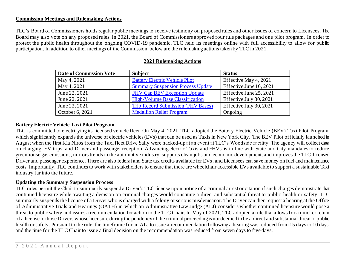#### <span id="page-7-0"></span>**Commission Meetings and Rulemaking Actions**

TLC's Board of Commissioners holds regular public meetings to receive testimony on proposed rules and other issues of concern to Licensees. The Board may also vote on any proposed rules. In 2021, the Board of Commissioners approved four rule packages and one pilot program. In order to protect the public health throughout the ongoing COVID-19 pandemic, TLC held its meetings online with full accessibility to allow for public participation. In addition to other meetings of the Commission, below are the rulemaking actions taken by TLC in 2021.

| <b>Date of Commission Vote</b> | <b>Subject</b>                            | <b>Status</b>           |
|--------------------------------|-------------------------------------------|-------------------------|
| May 4, 2021                    | <b>Battery Electric Vehicle Pilot</b>     | Effective May 4, 2021   |
| May 4, 2021                    | <b>Summary Suspension Process Update</b>  | Effective June 10, 2021 |
| June 22, 2021                  | <b>FHV Cap BEV Exception Update</b>       | Effective June 25, 2021 |
| June 22, 2021                  | <b>High-Volume Base Classification</b>    | Effective July 30, 2021 |
| June 22, 2021                  | <b>Trip Record Submission (FHV Bases)</b> | Effective July 30, 2021 |
| October 6, 2021                | <b>Medallion Relief Program</b>           | Ongoing                 |

#### **2021 Rulemaking Actions**

#### **Battery Electric Vehicle Taxi Pilot Program**

TLC is committed to electrifying its licensed vehicle fleet. On May 4, 2021, TLC adopted the Battery Electric Vehicle (BEV) Taxi Pilot Program, which significantly expands the universe of electric vehicles (EVs) that can be used as Taxis in New York City. The BEV Pilot officially launched in August when the first Kia Niros from the Taxi fleet Drive Sally were hacked-up at an event at TLC's Woodside facility. The agency will collect data on charging, EV trips, and Driver and passenger reception. Advancing electric Taxis and FHVs is in line with State and City mandates to reduce greenhouse gas emissions, mirrors trends in the automotive industry, supports clean jobs and economic development, and improves the TLC-licensed Driver and passenger experience. There are also federal and State tax credits available for EVs, and Licensees can save money on fuel and maintenance costs. Importantly, TLC continues to work with stakeholders to ensure that there are wheelchair accessible EVs available to support a sustainable Taxi industry far into the future.

#### **Updating the Summary Suspension Process**

TLC rules permit the Chair to summarily suspend a Driver's TLC license upon notice of a criminal arrest or citation if such charges demonstrate that continued licensure while awaiting a decision on criminal charges would constitute a direct and substantial threat to public health or safety. TLC summarily suspends the license of a Driver who is charged with a felony or serious misdemeanor. The Driver can then request a hearing at the Office of Administrative Trials and Hearings (OATH) in which an Administrative Law Judge (ALJ) considers whether continued licensure would pose a threat to public safety and issues a recommendation for action to the TLC Chair. In May of 2021, TLC adopted a rule that allows for a quicker return of a license to those Drivers whose licensure during the pendency of the criminal proceeding is not deemed to be a direct and substantial threat to public health or safety. Pursuant to the rule, the timeframe for an ALJ to issue a recommendation following a hearing was reduced from 15 days to 10 days, and the time for the TLC Chair to issue a final decision on the recommendation was reduced from seven days to five days.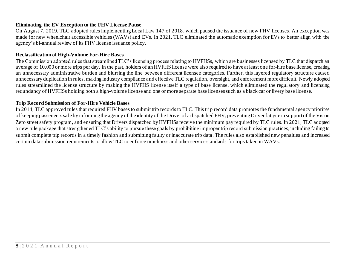#### **Eliminating the EV Exception to the FHV License Pause**

On August 7, 2019, TLC adopted rules implementing Local Law 147 of 2018, which paused the issuance of new FHV licenses. An exception was made for new wheelchair accessible vehicles (WAVs) and EVs. In 2021, TLC eliminated the automatic exemption for EVs to better align with the agency's bi-annual review of its FHV license issuance policy.

#### **Reclassification of High-Volume For-Hire Bases**

The Commission adopted rules that streamlined TLC's licensing process relating to HVFHSs, which are businesses licensed by TLC that dispatch an average of 10,000 or more trips per day. In the past, holders of an HVFHS license were also required to have at least one for-hire base license, creating an unnecessary administrative burden and blurring the line between different licensee categories. Further, this layered regulatory structure caused unnecessary duplication in rules, making industry compliance and effective TLC regulation, oversight, and enforcement more difficult. Newly adopted rules streamlined the license structure by making the HVFHS license itself a type of base license, which eliminated the regul atory and licensing redundancy of HVFHSs holding both a high-volume license and one or more separate base licenses such as a black car or livery base license.

#### **Trip Record Submission of For-Hire Vehicle Bases**

In 2014, TLC approved rules that required FHV bases to submit trip records to TLC. This trip record data promotes the fundamental agency priorities of keeping passengers safe by informing the agency of the identity of the Driver of a dispatched FHV, preventing Driver fatigue in support of the Vision Zero street safety program, and ensuring that Drivers dispatched by HVFHSs receive the minimum pay required by TLC rules. In 2021, TLC adopted a new rule package that strengthened TLC's ability to pursue these goals by prohibiting improper trip record submission practices, including failing to submit complete trip records in a timely fashion and submitting faulty or inaccurate trip data. The rules also established new penalties and increased certain data submission requirements to allow TLC to enforce timeliness and other service standards for trips taken in WAVs.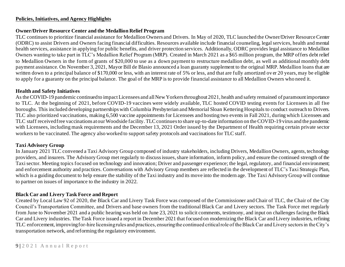#### <span id="page-9-0"></span>**Policies, Initiatives, and Agency Highlights**

#### **Owner/Driver Resource Center and the Medallion Relief Program**

TLC continues to prioritize financial assistance for Medallion Owners and Drivers. In May of 2020, TLC launched the Owner/Driver Resource Center (ODRC) to assist Drivers and Owners facing financial difficulties. Resources available include financial counseling, legal services, health and mental health services, assistance in applying for public benefits, and driver protection services. Additionally, ODRC provides legal assistance to Medallion Owners wanting to take part in TLC's Medallion Relief Program (MRP). Created in March 2021 as a \$65 million program, the MRP offers debt relief to Medallion Owners in the form of grants of \$20,000 to use as a down payment to restructure medallion debt, as well as additional monthly debt payment assistance. On November 3, 2021, Mayor Bill de Blasio announced a loan guaranty supplement to the original MRP. Medallion loans that are written down to a principal balance of \$170,000 or less, with an interest rate of 5% or less, and that are fully amortized over 20 years, may be eligible to apply for a guaranty on the principal balance. The goal of the MRP is to provide financial assistance to all Medallion Owners who need it.

#### **Health and Safety Initiatives**

As the COVID-19 pandemic continued to impact Licensees and all New Yorkers throughout 2021, health and safety remained of paramountimportance to TLC. At the beginning of 2021, before COVID-19 vaccines were widely available, TLC hosted COVID testing events for Licensees in all five boroughs. This included developing partnerships with Columbia Presbyterian and Memorial Sloan Kettering Hospitals to conduct outreach to Drivers. TLC also prioritized vaccinations, making 6,500 vaccine appointments for Licensees and hosting two events in Fall 2021, during which Licensees and TLC staff received free vaccinations at our Woodside facility. TLC continues to share up-to-date information on the COVID-19 virus and the pandemic with Licensees, including mask requirements and the December 13, 2021 Order issued by the Department of Health requiring certain private sector workers to be vaccinated.The agency also worked to support safety protocols and vaccinations for TLC staff.

#### **Taxi Advisory Group**

In January 2021 TLC convened a Taxi Advisory Group composed of industry stakeholders, including Drivers, Medallion Owners, agents, technology providers, and insurers. The Advisory Group met regularly to discuss issues, share information, inform policy, and ensure the continued strength of the Taxi sector. Meeting topics focused on technology and innovation; Driver and passenger experience; the legal, regulatory, and financial environment; and enforcement authority and practices. Conversations with Advisory Group members are reflected in the development of TLC's Taxi Strategic Plan, which is a guiding document to help ensure the stability of the Taxi industry and its move into the modern age. The Taxi Advisory Group will continue to partner on issues of importance to the industry in 2022.

#### **Black Car and Livery Task Force and Report**

Created by Local Law 92 of 2020, the Black Car and Livery Task Force was composed of the Commissioner and Chair of TLC, the Chair of the City Council's Transportation Committee, and Drivers and base owners from the traditional Black Car and Livery sectors. The Task Force met regularly from June to November 2021 and a public hearing was held on June 23, 2021 to solicit comments, testimony, and input on challenges facing the Black Car and Livery industries. The Task Force issued a report in December 2021 that focused on modernizing the Black Car and Livery industries, refining TLC enforcement, improving for-hire licensing rules and practices, ensuring the continued critical role of the Black Car and Livery sectors in the City's transportation network, and reforming the regulatory environment.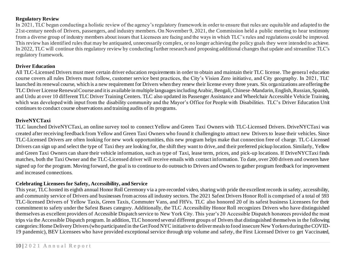#### **Regulatory Review**

In 2021, TLC began conducting a holistic review of the agency's regulatory framework in order to ensure that rules are equita ble and adapted to the 21st-century needs of Drivers, passengers, and industry members. On November 9, 2021, the Commission held a public meeting to hear testimony from a diverse group of industry members about issues that Licensees are facing and the ways in which TLC's rules and regulations could be improved. This review has identified rules that may be antiquated, unnecessarily complex, or no longer achieving the policy goals they were intended to achieve. In 2022, TLC will continue this regulatory review by conducting further research and proposing additional changes that update and streamline TLC's regulatory framework.

#### **Driver Education**

All TLC-Licensed Drivers must meet certain driver education requirements in order to obtain and maintain their TLC license. The genera l education course covers all rules Drivers must follow, customer service best practices, the City's Vision Zero initiative, and City geography. In 2021, TLC launched its renewal course, which is a new requirement for Drivers when they renew their license every three years. Six orga nizations are offering the TLC Driver License Renewal Course and it is available in multiple languages including Arabic, Bengali, Chinese-Mandarin, English, Russian, Spanish, and Urdu at over 10 different TLC Driver Training Centers. TLC also updated its Passenger Assistance and Wheelchair Accessible Vehicle Training, which was developed with input from the disability community and the Mayor's Office for People with Disabilities. TLC's Driver Education Unit continues to conduct course observations and training audits of its programs.

#### **DriveNYCTaxi**

TLC launched DriveNYCTaxi, an online survey tool to connect Yellow and Green Taxi Owners with TLC-Licensed Drivers. DriveNYCTaxi was created after receiving feedback from Yellow and Green Taxi Owners who found it challenging to attract new Drivers to lease their vehicles. Since TLC-Licensed Drivers are often looking for new work opportunities, this new program helps make that connection free of charge. TLC-Licensed Drivers can sign up and select the type of Taxi they are looking for, the shift they want to drive, and their preferred pickup location. Similarly, Yellow and Green Taxi Owners can share their vehicle information, such as type of Taxi, lease term, prices, and pick-up locations. If DriveNYCTaxi finds matches, both the Taxi Owner and the TLC-Licensed driver will receive emails with contact information. To date, over 200 drivers and owners have signed up for the program. Moving forward, the goal is to continue to do outreach to Drivers and Owners to gather program feedback for improvement and increased connections.

#### **Celebrating Licensees for Safety, Accessibility, and Service**

This year, TLC hosted its eighth annual Honor Roll Ceremony via a pre-recorded video, sharing with pride the excellent records in safety, accessibility, and community service of Drivers and businesses from across all industry sectors. The 2021 Safest Drivers Honor Roll is comprised of a total of 593 TLC-licensed Drivers of Yellow Taxis, Green Taxis, Commuter Vans, and FHVs. TLC also honored 20 of its safest business Licensees for their commitment to safety under the Safest Bases category. Additionally, the TLC Accessibility Honor Roll recognizes Drivers who have distinguished themselves as excellent providers of Accessible Dispatch service to New York City. This year's 20 Accessible Dispatch honorees provided the most trips via the Accessible Dispatch program. In addition, TLC honored several different groups of Drivers that distinguished themselves in the following categories: Home Delivery Drivers (who participated in the Get Food NYC initiative to deliver meals to food insecure New Yorkers during the COVID-19 pandemic), BEV Licensees who have provided exceptional service through trip volume and safety, the First Licensed Driver to get Vaccinated,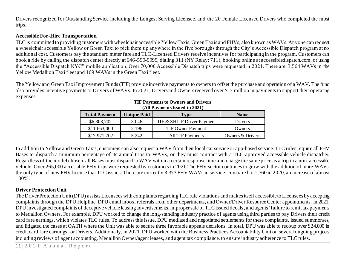Drivers recognized for Outstanding Service including the Longest Serving Licensee, and the 20 Female Licensed Drivers who completed the most trips.

#### **Accessible For-Hire Transportation**

TLC is committed to providing customers with wheelchair accessible Yellow Taxis, Green Taxis and FHVs, also known as WAVs. Anyone can request a wheelchair accessible Yellow or Green Taxi to pick them up anywhere in the five boroughs through the City's Accessible Dispatch program at no additional cost. Customers pay the standard meter fare and TLC-Licensed Drivers receive incentives for participating in the program. Customers can book a ride by calling the dispatch center directly at 646-599-9999, dialing 311 (NY Relay: 711), booking online at accessibledispatch.com, or using the "Accessible Dispatch NYC" mobile application. Over 70,000 Accessible Dispatch trips were requested in 2021. There are 3,564 WAVs in the Yellow Medallion Taxi fleet and 169 WAVs in the Green Taxi fleet.

The Yellow and Green Taxi Improvement Funds (TIF) provide incentive payments to owners to offset the purchase and operation of a WAV. The fund also provides incentive payments to Drivers of WAVs. In 2021, Drivers and Owners received over \$17 million in payments to support their operating expenses.

| <b>Total Payment</b> | <b>Unique Paid</b> | Type                       | <b>Name</b>      |  |  |
|----------------------|--------------------|----------------------------|------------------|--|--|
| \$6,308,702          | 3,046              | TIF & SHLIF Driver Payment | <b>Drivers</b>   |  |  |
| \$11,663,000         | 2,196              | <b>TIF Owner Payment</b>   | Owners           |  |  |
| \$17.971.702         | 5.242              | <b>All TIF Payments</b>    | Owners & Drivers |  |  |

#### **TIF Payments to Owners and Drivers (All Payments Issued in 2021)**

In addition to Yellow and Green Taxis, customers can also request a WAV from their local car service or app-based service. TLC rules require all FHV Bases to dispatch a minimum percentage of its annual trips to WAVs, or they must contract with a TLC-approved accessible vehicle dispatcher. Regardless of the model chosen, all Bases must dispatch a WAV within a certain response time and charge the same price as a trip in a non-accessible vehicle. Over 265,000 accessible FHV trips were requested by customers in 2021.The FHV sector continues to grow with the addition of more WAVs, the only type of new FHV license that TLC issues. There are currently 3,373 FHV WAVs in service, compared to 1,760 in 2020, an increase of almost 100%.

#### **Driver Protection Unit**

The Driver Protection Unit (DPU) assists Licensees with complaints regardingTLC rule violations and makes itself accessible to Licensees by accepting complaints through the DPU Helpline, DPU email inbox, referrals from other departments, and Owner/Driver Resource Center appointments. In 2021, DPU investigated complaints of deceptive vehicle leasing advertisements, improper sale of TLC issued decals, and agents' failure to remit tax payments to Medallion Owners. For example, DPU worked to change the long-standing industry practice of agents using third parties to pay Drivers their credit card fare earnings, which violates TLC rules. To address this issue, DPU mediated and negotiated settlements for these complaints, issued summonses, and litigated the cases at OATH where the Unit was able to secure three favorable appeals decisions. In total, DPU was able to recoup over \$24,000 in credit card fare earnings for Drivers. Additionally, in 2021, DPU worked with the Business Practices Accountability Unit on several ongoing projects including reviews of agent accounting, Medallion Owner/agent leases, and agent tax compliance, to ensure industry adherence to TLC rules.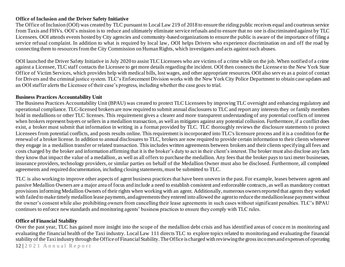#### **Office of Inclusion and the Driver Safety Initiative**

The Office of Inclusion (OOI) was created by TLC pursuant to Local Law 219 of 2018 to ensure the riding public receives equal and courteous service from Taxis and FHVs. OOI's mission is to reduce and ultimately eliminate service refusals and to ensure that no one is discriminated against by TLC Licensees. OOI attends events hosted by City agencies and community-based organizations to ensure the public is aware of the importance of filing a service refusal complaint. In addition to what is required by local law, OOI helps Drivers who experience discrimination on and off the road by connecting them to resources from the City Commission on Human Rights, which investigates and acts against such abuses.

OOI launched the Driver Safety Initiative in July 2020 to assist TLC Licensees who are victims of a crime while on the job. When notified of a crime against a Licensee, TLC staff contacts the Licensee to get more details regarding the incident. OOI then connects the License e to the New York State Office of Victim Services, which provides help with medical bills, lost wages, and other appropriate resources. OOI also serv es as a point of contact for Drivers and the criminal justice system. TLC's Enforcement Division works with the New York City Police Department to obtain case updates and an OOI staffer alerts the Licensee of their case's progress, including whether the case goes to trial.

#### **Business Practices Accountability Unit**

The Business Practices Accountability Unit (BPAU) was created to protect TLC Licensees by improving TLC oversight and enhancing regulatory and operational compliance. TLC-licensed brokers are now required to submit annual disclosures to TLC and report any interests they or family members hold in medallions or other TLC licenses. This requirement gives a clearer and more transparent understanding of any potential conflicts of interest when brokers represent buyers or sellers in a medallion transaction, as well as mitigates against any potential collusion. Furthermore, if a conflict does exist, a broker must submit that information in writing in a format provided by TLC. TLC thoroughly reviews the disclosure statements to protect Licensees from potential conflicts, and posts results online. This requirement is incorporated into TLC's licensure process and it is a condition for the renewal of a broker license. In addition to annual disclosures to TLC, brokers are now required to provide certain information to their clients whenever they engage in a medallion transfer or related transaction. This includes written agreements between brokers and their clients specifying all fees and costs charged by the broker and information affirming that it is the broker's duty to act in their client's interest. The broker must also disclose any facts they know that impact the value of a medallion, as well as all offers to purchase the medallion. Any fees that the broker pays to taxi meter businesses, insurance providers, technology providers, or similar parties on behalf of the Medallion Owner must also be disclosed. Furthermore, all completed agreements and required documentation, including closing statements, must be submitted to TLC.

TLC is also working to improve other aspects of agent business practices that have been uneven in the past. For example, leases between agents and passive Medallion Owners are a major area of focus and include a need to establish consistent and enforceable contracts, as well as mandatory contract provisions informing Medallion Owners of their rights when working with an agent. Additionally, numerous owners reported that agents they worked with failed to make timely medallion lease payments, and agreements they entered into allowed the agent to reduce the medallion lease payment without the owner's consent while also prohibiting owners from cancelling their lease agreements in such cases without significant penalties. TLC's BPAU continues to enforce new standards and monitoring agents' business practices to ensure they comply with TLC rules.

#### **Office of Financial Stability**

Over the past year, TLC has gained more insight into the scope of the medallion debt crisis and has identified areas of conce rn in monitoring and evaluating the financial health of the Taxi industry. Local Law 111 directs TLC to explore topics related to monitoring and evaluating the financial stability of the Taxi industry through the Office of Financial Stability. The Office is charged with reviewing the gross incomes and expenses of operating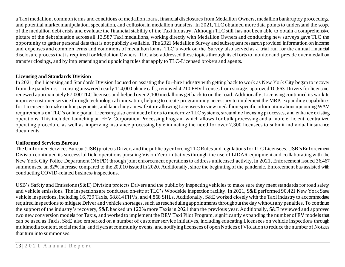a Taxi medallion, common terms and conditions of medallion loans, financial disclosures from Medallion Owners, medallion bankruptcy proceedings, and potential market manipulation, speculation, and collusion in medallion transfers. In 2021, TLC obtained more data points to understand the scope of the medallion debt crisis and evaluate the financial stability of the Taxi Industry. Although TLC still has not been able to obtain a comprehensive picture of the debt situation across all 13,587 Taxi medallions, working directly with Medallion Owners and conducting new surveys gave TLC the opportunity to gather personal data that is not publicly available. The 2021 Medallion Survey and subsequent research provided information on income and expenses and common terms and conditions of medallion loans. TLC's work on the Survey also served as a trial run for the annual financial disclosure process that is required for Medallion Owners. TLC also addressed these topics through its efforts to monitor and preside over medallion transfer closings, and by implementing and upholding rules that apply to TLC-Licensed brokers and agents.

#### **Licensing and Standards Division**

In 2021, the Licensing and Standards Division focused on assisting the for-hire industry with getting back to work as New York City began to recover from the pandemic. Licensing answered nearly 114,000 phone calls, removed 4,210 FHV licenses from storage, approved 10,663 Drivers for licensure, renewed approximately 67,000 TLC licenses and helped over 2,100 medallions get back to on the road. Additionally, Licensing continued its work to improve customer service through technological innovation, helping to create programming necessary to implement the MRP, expanding capabilities for Licensees to make online payments, and launching a new feature allowing Licensees to view medallion-specific information about upcoming WAV requirements on TLC's online portal. Licensing also continued efforts to modernize TLC systems, streamline licensing p rocesses, and enhance existing operations. This included launching an FHV Corporation Processing Program which allows for bulk processing and a more efficient, centralized operating procedure, as well as improving insurance processing by eliminating the ne ed for over 7,300 licensees to submit individual insurance documents.

#### **Uniformed Services Bureau**

The Uniformed Services Bureau (USB) protects Drivers and the public by enforcing TLC Rules and regulations for TLC Licensees. USB'sEnforcement Division continued its successful field operations pursuing Vision Zero initiatives through the use of LIDAR equipment and co llaborating with the New York City Police Department (NYPD) through joint enforcement operations to address unlicensed activity. In 2021, Enforcement issued 36,467 summonses, an 82% increase compared to the 20,010 issued in 2020. Additionally, since the beginning of the pandemic, Enforcement has assisted with conducting COVID-related business inspections.

<span id="page-13-0"></span>USB's Safety and Emissions (S&E) Division protects Drivers and the public by inspecting vehicles to make sure they meet standards for road safety and vehicle emissions. The inspections are conducted on-site at TLC's Woodside inspection facility. In 2021, S&E performed 90,421 New York State vehicle inspections, including 16,739 Taxis, 68,814 FHVs, and 4,868 SHLs. Additionally, S&E worked closely with the Taxi industry to accommodate required inspections to mitigate Driver and vehicle shortages, such as rescheduling appointments throughout the day without any penalties. To continue the support of the industry's recovery, S&E hacked up 122% more Taxis in 2021 than the previous year. Additionally, S&E reviewed and approved two new conversion models for Taxis, and worked to implement the BEV Taxi Pilot Program, significantly expanding the number of EV models that can be used as Taxis. S&E also embarked on a number of customer service initiatives, including educating Licensees on vehicle inspections through multimedia content, social media, and flyers at community events, and notifying licensees of open Notices of Violation to reduce the number of Notices that turn into summonses.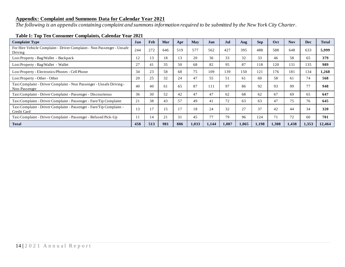#### **Appendix: Complaint and Summons Data for Calendar Year 2021**

*The following is an appendix containing complaint and summons information required to be submitted by the New York City Charter.*

| <b>Complaint Type</b>                                                                 | Jan | Feb | Mar | Apr | <b>May</b> | Jun   | Jul   | Aug   | <b>Sep</b> | Oct   | <b>Nov</b> | <b>Dec</b> | <b>Total</b> |
|---------------------------------------------------------------------------------------|-----|-----|-----|-----|------------|-------|-------|-------|------------|-------|------------|------------|--------------|
| For Hire Vehicle Complaint - Driver Complaint - Non Passenger - Unsafe<br>Driving     | 244 | 272 | 646 | 519 | 577        | 562   | 427   | 395   | 488        | 588   | 648        | 633        | 5,999        |
| Lost Property - Bag/Wallet - Backpack                                                 | 12  | 13  | 18  | 13  | 20         | 36    | 33    | 32    | 33         | 46    | 58         | 65         | 379          |
| Lost Property - Bag/Wallet - Wallet                                                   | 27  | 41  | 35  | 50  | 68         | 82    | 95    | 87    | 118        | 120   | 131        | 135        | 989          |
| Lost Property - Electronics/Phones - Cell Phone                                       | 34  | 23  | 58  | 68  | 75         | 109   | 139   | 150   | 121        | 176   | 181        | 134        | 1,268        |
| Lost Property - Other - Other                                                         | 20  | 25  | 32  | 24  | 47         | 55    | 51    | 61    | 60         | 58    | 61         | 74         | 568          |
| Taxi Complaint - Driver Complaint - Non Passenger - Unsafe Driving -<br>Non-Passenger | 40  | 40  | 61  | 65  | 87         | 111   | 97    | 86    | 92         | 93    | 99         | 77         | 948          |
| Taxi Complaint - Driver Complaint - Passenger - Discourteous                          | 36  | 30  | 52  | 42  | 47         | 47    | 62    | 68    | 62         | 67    | 69         | 65         | 647          |
| Taxi Complaint - Driver Complaint - Passenger - Fare/Tip Complaint                    | 21  | 38  | 43  | 57  | 49         | 41    | 72    | 63    | 63         | 47    | 75         | 76         | 645          |
| Taxi Complaint - Driver Complaint - Passenger - Fare/Tip Complaint -<br>Credit Card   | 13  |     | 15  |     | 18         | 24    | 32    | 27    | 37         | 42    | 44         | 34         | 320          |
| Taxi Complaint - Driver Complaint - Passenger - Refused Pick-Up                       | 11  | 14  | 21  | 31  | 45         | 77    | 79    | 96    | 124        | 71    | 72         | 60         | 701          |
| <b>Total</b>                                                                          | 458 | 513 | 981 | 886 | 1,033      | 1,144 | 1,087 | 1,065 | 1,198      | 1,308 | 1,438      | 1,353      | 12.464       |

#### **Table 1: Top Ten Consumer Complaints, Calendar Year 2021**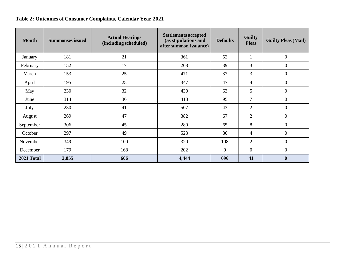## **Table 2: Outcomes of Consumer Complaints, Calendar Year 2021**

| <b>Month</b> | <b>Summonses issued</b> | <b>Actual Hearings</b><br>(including scheduled) | <b>Settlements accepted</b><br>(as stipulations and<br>after summon issuance) | <b>Defaults</b>  | <b>Guilty</b><br><b>Pleas</b> | <b>Guilty Pleas (Mail)</b> |
|--------------|-------------------------|-------------------------------------------------|-------------------------------------------------------------------------------|------------------|-------------------------------|----------------------------|
| January      | 181                     | 21                                              | 361                                                                           | 52               | 1                             | $\boldsymbol{0}$           |
| February     | 152                     | 17                                              | 208                                                                           | 39               | 3                             | $\overline{0}$             |
| March        | 153                     | 25                                              | 471                                                                           | 37               | 3                             | $\boldsymbol{0}$           |
| April        | 195                     | 25                                              | 347                                                                           | 47               | 4                             | $\overline{0}$             |
| May          | 230                     | 32                                              | 430                                                                           | 63               | 5                             | $\overline{0}$             |
| June         | 314                     | 36                                              | 413                                                                           | 95               | 7                             | $\boldsymbol{0}$           |
| July         | 230                     | 41                                              | 507                                                                           | 43               | $\overline{2}$                | $\overline{0}$             |
| August       | 269                     | 47                                              | 382                                                                           | 67               | $\overline{2}$                | $\boldsymbol{0}$           |
| September    | 306                     | 45                                              | 280                                                                           | 65               | 8                             | $\boldsymbol{0}$           |
| October      | 297                     | 49                                              | 523                                                                           | 80               | 4                             | $\overline{0}$             |
| November     | 349                     | 100                                             | 320                                                                           | 108              | 2                             | $\overline{0}$             |
| December     | 179                     | 168                                             | 202                                                                           | $\boldsymbol{0}$ | $\boldsymbol{0}$              | $\boldsymbol{0}$           |
| 2021 Total   | 2,855                   | 606                                             | 4,444                                                                         | 696              | 41                            | $\bf{0}$                   |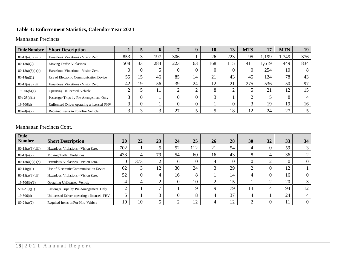#### **Table 3: Enforcement Statistics, Calendar Year 2021**

#### Manhattan Precincts

| <b>Rule Number</b>  | <b>Short Description</b>                   |     |    | O   |        |    | 10  | 13             | <b>MTS</b>  | 17    | <b>MTN</b> | 19  |
|---------------------|--------------------------------------------|-----|----|-----|--------|----|-----|----------------|-------------|-------|------------|-----|
| $80-13(a)(3)(viii)$ | Hazardous Violations - Vision Zero.        | 853 |    | 197 | 306    |    | 26  | 223            | 95          | 1,199 | 1,749      | 376 |
| $80-13(a)(2)$       | <b>Moving Traffic Violations</b>           | 508 | 33 | 284 | 223    | 63 | 168 | 115            | 41          | 1,619 | 449        | 834 |
| $80-13(a)(3)(i)(b)$ | Hazardous Violations - Vision Zero.        |     |    |     |        |    |     |                |             | 254   | 10         |     |
| $80-14(g)(1)$       | Use of Electronic Communication Device     | 55  | 15 | 46  | 85     | 14 | 21  | 4 <sup>2</sup> | 45          | 124   | 78         | 43  |
| $80-13(a)(3)(vii)$  | Hazardous Violations - Vision Zero.        | 42  | 19 | 56  | 39     | 24 | 12  | 21             | 275         | 536   | 50         | 97  |
| $19-506(b)(1)$      | Operating Unlicensed Vehicle               |     |    | 11  |        |    |     |                |             | 21    |            |     |
| $59a-25(a)(1)$      | Passenger Trips by Pre-Arrangement Only    |     |    |     |        |    | ╭   |                | ◠           |       |            |     |
| $19-506(d)$         | Unlicensed Driver operating a licensed FHV |     |    |     |        |    |     |                |             | 19    | 19         | 16  |
| $80-24(a)(2)$       | Required Items in For-Hire Vehicle         |     |    | ⌒   | $\cap$ |    |     | 18             | $1^{\circ}$ | 24    | 27         |     |

#### Manhattan Precincts Cont.

| Rule<br><b>Number</b> | <b>Short Description</b>                   | 20  | 22  | 23           | 24 | 25  | 26 | 28           | 30      | 32       | 33 | 34 |
|-----------------------|--------------------------------------------|-----|-----|--------------|----|-----|----|--------------|---------|----------|----|----|
| $80-13(a)(3)(viii)$   | Hazardous Violations - Vision Zero.        | 702 |     |              | 52 | 112 | 21 | 54           |         | $\theta$ | 59 |    |
| $80-13(a)(2)$         | <b>Moving Traffic Violations</b>           | 433 |     | 79           | 54 | 60  | 16 | 43           | $\circ$ | 4        | 36 |    |
| $80-13(a)(3)(i)(b)$   | Hazardous Violations - Vision Zero.        |     | 373 | ◠            | h  | 0   | 4  |              |         | ◠        |    |    |
| $80-14(g)(1)$         | Use of Electronic Communication Device     | 62  |     | 12           | 30 | 24  | 3  | 29           | ◠       | $\theta$ | 12 |    |
| $80-13(a)(3)(vii)$    | Hazardous Violations - Vision Zero.        | 52  |     | 4            | 16 | 8   |    | 14           | 4       | $\Omega$ | 16 |    |
| $19-506(b)(1)$        | Operating Unlicensed Vehicle               |     |     | ◠            |    | 10  | ◠  | 15           |         | ↑        | 20 |    |
| $59a-25(a)(1)$        | Passenger Trips by Pre-Arrangement Only    |     |     | ⇁            |    | 19  | Ч  | 79           | 13      | 4        | 94 | 12 |
| $19-506(d)$           | Unlicensed Driver operating a licensed FHV |     |     | $\mathbf{c}$ |    | 8   | 4  | 37           |         |          | 24 |    |
| $80-24(a)(2)$         | Required Items in For-Hire Vehicle         | 10  | 10  |              |    | 12  | 4  | $1^{\wedge}$ | ◠       |          |    |    |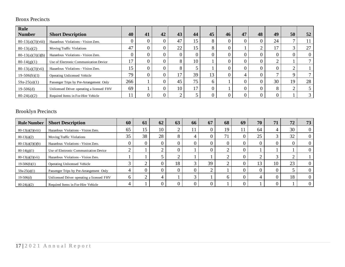### Bronx Precincts

| Rule<br><b>Number</b> | <b>Short Description</b>                   | 40             | 41 | 42 | 43 | 44 | 45 | 46 | 47 | 48 | 49 | 50       | 52       |
|-----------------------|--------------------------------------------|----------------|----|----|----|----|----|----|----|----|----|----------|----------|
|                       |                                            |                |    |    |    |    |    |    |    |    |    |          |          |
| $80-13(a)(3)(viii)$   | Hazardous Violations - Vision Zero.        | $\theta$       |    |    | 47 | 15 | 8  |    |    |    | 24 |          |          |
| $80-13(a)(2)$         | <b>Moving Traffic Violations</b>           | 47             |    |    | 22 | 15 | 8  |    |    |    | 17 | 3        | 27       |
| $80-13(a)(3)(i)(b)$   | Hazardous Violations - Vision Zero.        | $\theta$       |    |    |    |    |    |    |    |    |    | $\theta$ | $\theta$ |
| $80-14(g)(1)$         | Use of Electronic Communication Device     | 17             |    |    |    | 10 |    |    |    |    | ◠  |          |          |
| $80-13(a)(3)(vii)$    | Hazardous Violations - Vision Zero.        | $\overline{5}$ |    |    | ⌒  |    |    |    |    |    |    |          |          |
| $19-506(b)(1)$        | Operating Unlicensed Vehicle               | 79             |    |    |    | 39 | 13 |    | 4  |    |    | $\Omega$ |          |
| $59a-25(a)(1)$        | Passenger Trips by Pre-Arrangement Only    | 266            |    |    | 45 | 75 | h  |    |    |    | 30 | 19       | 28       |
| $19-506(d)$           | Unlicensed Driver operating a licensed FHV | 69             |    |    | 10 | 17 |    |    |    |    | 8  | ◠        |          |
| $80-24(a)(2)$         | Required Items in For-Hire Vehicle         |                |    |    |    |    |    |    |    |    |    |          |          |

### Brooklyn Precincts

| <b>Rule Number</b>  | <b>Short Description</b>                   | 60       | 61 | 62 | 63 | 66 | 67       | 68           | 69 | 70 | 71 | 72     | 73 |
|---------------------|--------------------------------------------|----------|----|----|----|----|----------|--------------|----|----|----|--------|----|
| $80-13(a)(3)(viii)$ | Hazardous Violations - Vision Zero.        | 65       | 15 | 10 |    |    |          | 19           |    | 64 |    | 30     |    |
| $80-13(a)(2)$       | <b>Moving Traffic Violations</b>           | 35       | 38 | 28 |    |    |          | $\mathbf{r}$ |    | 25 |    | 32     |    |
| $80-13(a)(3)(i)(b)$ | Hazardous Violations - Vision Zero.        | $\theta$ |    |    |    |    | $\theta$ |              |    |    |    | $_{0}$ |    |
| $80-14(g)(1)$       | Use of Electronic Communication Device     | ◠        |    |    |    |    |          |              |    |    |    |        |    |
| $80-13(a)(3)(vii)$  | Hazardous Violations - Vision Zero.        |          |    |    |    |    |          |              |    |    |    |        |    |
| $19-506(b)(1)$      | Operating Unlicensed Vehicle               | $\Omega$ |    |    | 18 |    | 39       |              |    | 13 | 10 | 23     |    |
| $59a-25(a)(1)$      | Passenger Trips by Pre-Arrangement Only    |          |    |    |    |    | ◠        |              |    |    |    |        |    |
| $19-506(d)$         | Unlicensed Driver operating a licensed FHV | O        |    |    |    |    |          |              |    |    |    | 18     |    |
| $80-24(a)(2)$       | Required Items in For-Hire Vehicle         |          |    |    |    |    |          |              |    |    |    |        |    |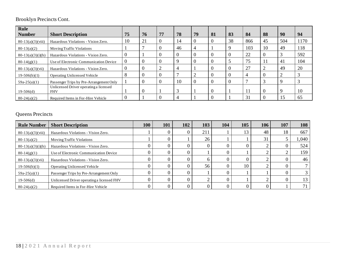## Brooklyn Precincts Cont.

| <b>Rule</b>         |                                                      |          |    |          |                |    |    |    |     |          |     |      |
|---------------------|------------------------------------------------------|----------|----|----------|----------------|----|----|----|-----|----------|-----|------|
| <b>Number</b>       | <b>Short Description</b>                             | 75       | 76 | 77       | 78             | 79 | 81 | 83 | 84  | 88       | 90  | 94   |
| $80-13(a)(3)(viii)$ | Hazardous Violations - Vision Zero.                  | 10       | 21 | $\theta$ | 14             |    |    | 38 | 866 | 45       | 504 | 1170 |
| $80-13(a)(2)$       | <b>Moving Traffic Violations</b>                     |          |    |          | 46             |    |    |    | 103 | 10       | 49  | 118  |
| $80-13(a)(3)(i)(b)$ | Hazardous Violations - Vision Zero.                  | v        |    | $\theta$ | -0             |    |    |    | 22  | $\Omega$ |     | 592  |
| $80-14(g)(1)$       | Use of Electronic Communication Device               |          | 0  | O        | q              |    |    |    | 75  |          | 41  | 104  |
| $80-13(a)(3)(vii)$  | Hazardous Violations - Vision Zero.                  |          |    | 2        | $\overline{4}$ |    |    |    | 27  |          | 49  | 20   |
| $19-506(b)(1)$      | <b>Operating Unlicensed Vehicle</b>                  | 8        | 0  | 0        | $\overline{ }$ |    |    |    | 4   |          |     |      |
| $59a-25(a)(1)$      | Passenger Trips by Pre-Arrangement Only              |          | 0  | $\theta$ | 10             |    |    |    |     |          |     |      |
| $19-506(d)$         | Unlicensed Driver operating a licensed<br><b>FHV</b> |          | 0  |          | 3              |    |    |    | 11  | $\Omega$ |     | 10   |
| $80-24(a)(2)$       | Required Items in For-Hire Vehicle                   | $\theta$ |    |          | 4              |    |    |    | 31  |          | 15  | 65   |

## Queens Precincts

| <b>Rule Number</b>  | <b>Short Description</b>                   | 100 | 101 | 102 | 103 | 104 | 105 | 106 | 107 | 108   |
|---------------------|--------------------------------------------|-----|-----|-----|-----|-----|-----|-----|-----|-------|
| $80-13(a)(3)(viii)$ | Hazardous Violations - Vision Zero.        |     |     |     | 211 |     | 13  | 48  | 18  | 667   |
| $80-13(a)(2)$       | <b>Moving Traffic Violations</b>           |     |     |     | 26  |     |     | 31  |     | 1,040 |
| $80-13(a)(3)(i)(b)$ | Hazardous Violations - Vision Zero.        |     |     |     |     |     |     |     |     | 524   |
| $80-14(g)(1)$       | Use of Electronic Communication Device     |     |     |     |     |     |     |     |     | 159   |
| $80-13(a)(3)(vii)$  | Hazardous Violations - Vision Zero.        |     |     |     |     |     |     |     |     | 46    |
| $19-506(b)(1)$      | <b>Operating Unlicensed Vehicle</b>        |     |     |     | 56  |     | 10  |     |     |       |
| $59a-25(a)(1)$      | Passenger Trips by Pre-Arrangement Only    |     |     |     |     |     |     |     |     |       |
| $19-506(d)$         | Unlicensed Driver operating a licensed FHV |     |     |     |     |     |     |     |     | 13    |
| $80-24(a)(2)$       | Required Items in For-Hire Vehicle         |     |     |     |     |     |     |     |     |       |